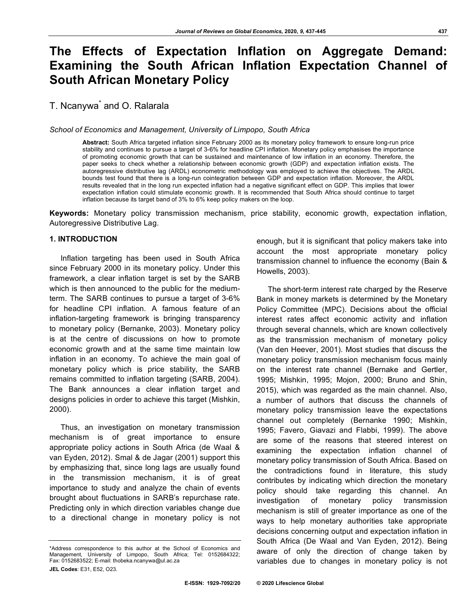# **The Effects of Expectation Inflation on Aggregate Demand: Examining the South African Inflation Expectation Channel of South African Monetary Policy**

T. Ncanywa<sup>\*</sup> and O. Ralarala

*School of Economics and Management, University of Limpopo, South Africa*

**Abstract:** South Africa targeted inflation since February 2000 as its monetary policy framework to ensure long-run price stability and continues to pursue a target of 3-6% for headline CPI inflation. Monetary policy emphasises the importance of promoting economic growth that can be sustained and maintenance of low inflation in an economy. Therefore, the paper seeks to check whether a relationship between economic growth (GDP) and expectation inflation exists. The autoregressive distributive lag (ARDL) econometric methodology was employed to achieve the objectives. The ARDL bounds test found that there is a long-run cointegration between GDP and expectation inflation. Moreover, the ARDL results revealed that in the long run expected inflation had a negative significant effect on GDP. This implies that lower expectation inflation could stimulate economic growth. It is recommended that South Africa should continue to target inflation because its target band of 3% to 6% keep policy makers on the loop.

**Keywords:** Monetary policy transmission mechanism, price stability, economic growth, expectation inflation, Autoregressive Distributive Lag.

## **1. INTRODUCTION**

Inflation targeting has been used in South Africa since February 2000 in its monetary policy. Under this framework, a clear inflation target is set by the SARB which is then announced to the public for the mediumterm. The SARB continues to pursue a target of 3-6% for headline CPI inflation. A famous feature of an inflation-targeting framework is bringing transparency to monetary policy (Bernanke, 2003). Monetary policy is at the centre of discussions on how to promote economic growth and at the same time maintain low inflation in an economy. To achieve the main goal of monetary policy which is price stability, the SARB remains committed to inflation targeting (SARB, 2004). The Bank announces a clear inflation target and designs policies in order to achieve this target (Mishkin, 2000).

Thus, an investigation on monetary transmission mechanism is of great importance to ensure appropriate policy actions in South Africa (de Waal & van Eyden, 2012). Smal & de Jagar (2001) support this by emphasizing that, since long lags are usually found in the transmission mechanism, it is of great importance to study and analyze the chain of events brought about fluctuations in SARB's repurchase rate. Predicting only in which direction variables change due to a directional change in monetary policy is not

enough, but it is significant that policy makers take into account the most appropriate monetary policy transmission channel to influence the economy (Bain & Howells, 2003).

The short-term interest rate charged by the Reserve Bank in money markets is determined by the Monetary Policy Committee (MPC). Decisions about the official interest rates affect economic activity and inflation through several channels, which are known collectively as the transmission mechanism of monetary policy (Van den Heever, 2001). Most studies that discuss the monetary policy transmission mechanism focus mainly on the interest rate channel (Bernake and Gertler, 1995; Mishkin, 1995; Mojon, 2000; Bruno and Shin, 2015), which was regarded as the main channel. Also, a number of authors that discuss the channels of monetary policy transmission leave the expectations channel out completely (Bernanke 1990; Mishkin, 1995; Favero, Giavazi and Flabbi, 1999). The above are some of the reasons that steered interest on examining the expectation inflation channel of monetary policy transmission of South Africa. Based on the contradictions found in literature, this study contributes by indicating which direction the monetary policy should take regarding this channel. An investigation of monetary policy transmission mechanism is still of greater importance as one of the ways to help monetary authorities take appropriate decisions concerning output and expectation inflation in South Africa (De Waal and Van Eyden, 2012). Being aware of only the direction of change taken by variables due to changes in monetary policy is not

<sup>\*</sup>Address correspondence to this author at the School of Economics and Management, University of Limpopo, South Africa; Tel: 0152684322; Fax: 0152683522; E-mail: thobeka.ncanywa@ul.ac.za **JEL Codes**: E31, E52, O23.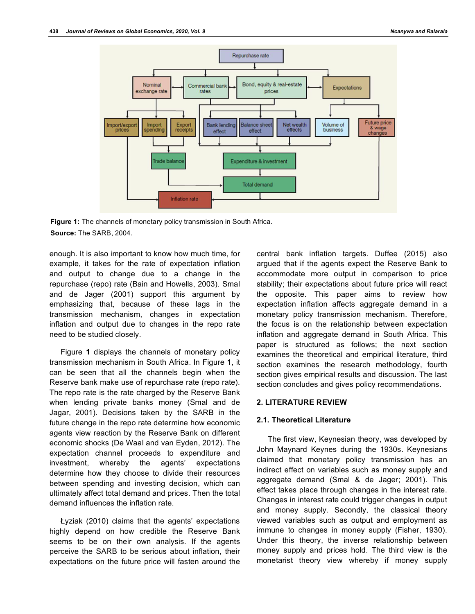

**Figure 1:** The channels of monetary policy transmission in South Africa. **Source:** The SARB, 2004.

enough. It is also important to know how much time, for example, it takes for the rate of expectation inflation and output to change due to a change in the repurchase (repo) rate (Bain and Howells, 2003). Smal and de Jager (2001) support this argument by emphasizing that, because of these lags in the transmission mechanism, changes in expectation inflation and output due to changes in the repo rate need to be studied closely.

Figure **1** displays the channels of monetary policy transmission mechanism in South Africa. In Figure **1**, it can be seen that all the channels begin when the Reserve bank make use of repurchase rate (repo rate). The repo rate is the rate charged by the Reserve Bank when lending private banks money (Smal and de Jagar, 2001). Decisions taken by the SARB in the future change in the repo rate determine how economic agents view reaction by the Reserve Bank on different economic shocks (De Waal and van Eyden, 2012). The expectation channel proceeds to expenditure and investment, whereby the agents' expectations determine how they choose to divide their resources between spending and investing decision, which can ultimately affect total demand and prices. Then the total demand influences the inflation rate.

Łyziak (2010) claims that the agents' expectations highly depend on how credible the Reserve Bank seems to be on their own analysis. If the agents perceive the SARB to be serious about inflation, their expectations on the future price will fasten around the

central bank inflation targets. Duffee (2015) also argued that if the agents expect the Reserve Bank to accommodate more output in comparison to price stability; their expectations about future price will react the opposite. This paper aims to review how expectation inflation affects aggregate demand in a monetary policy transmission mechanism. Therefore, the focus is on the relationship between expectation inflation and aggregate demand in South Africa. This paper is structured as follows; the next section examines the theoretical and empirical literature, third section examines the research methodology, fourth section gives empirical results and discussion. The last section concludes and gives policy recommendations.

## **2. LITERATURE REVIEW**

#### **2.1. Theoretical Literature**

The first view, Keynesian theory, was developed by John Maynard Keynes during the 1930s. Keynesians claimed that monetary policy transmission has an indirect effect on variables such as money supply and aggregate demand (Smal & de Jager; 2001). This effect takes place through changes in the interest rate. Changes in interest rate could trigger changes in output and money supply. Secondly, the classical theory viewed variables such as output and employment as immune to changes in money supply (Fisher, 1930). Under this theory, the inverse relationship between money supply and prices hold. The third view is the monetarist theory view whereby if money supply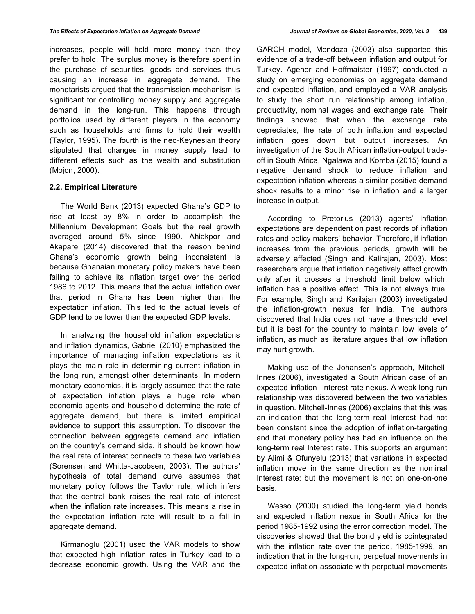increases, people will hold more money than they prefer to hold. The surplus money is therefore spent in the purchase of securities, goods and services thus causing an increase in aggregate demand. The monetarists argued that the transmission mechanism is significant for controlling money supply and aggregate demand in the long-run. This happens through portfolios used by different players in the economy such as households and firms to hold their wealth (Taylor, 1995). The fourth is the neo-Keynesian theory stipulated that changes in money supply lead to different effects such as the wealth and substitution (Mojon, 2000).

# **2.2. Empirical Literature**

The World Bank (2013) expected Ghana's GDP to rise at least by 8% in order to accomplish the Millennium Development Goals but the real growth averaged around 5% since 1990. Ahiakpor and Akapare (2014) discovered that the reason behind Ghana's economic growth being inconsistent is because Ghanaian monetary policy makers have been failing to achieve its inflation target over the period 1986 to 2012. This means that the actual inflation over that period in Ghana has been higher than the expectation inflation. This led to the actual levels of GDP tend to be lower than the expected GDP levels.

In analyzing the household inflation expectations and inflation dynamics, Gabriel (2010) emphasized the importance of managing inflation expectations as it plays the main role in determining current inflation in the long run, amongst other determinants. In modern monetary economics, it is largely assumed that the rate of expectation inflation plays a huge role when economic agents and household determine the rate of aggregate demand, but there is limited empirical evidence to support this assumption. To discover the connection between aggregate demand and inflation on the country's demand side, it should be known how the real rate of interest connects to these two variables (Sorensen and Whitta-Jacobsen, 2003). The authors' hypothesis of total demand curve assumes that monetary policy follows the Taylor rule, which infers that the central bank raises the real rate of interest when the inflation rate increases. This means a rise in the expectation inflation rate will result to a fall in aggregate demand.

Kirmanoglu (2001) used the VAR models to show that expected high inflation rates in Turkey lead to a decrease economic growth. Using the VAR and the

GARCH model, Mendoza (2003) also supported this evidence of a trade-off between inflation and output for Turkey. Agenor and Hoffmaister (1997) conducted a study on emerging economies on aggregate demand and expected inflation, and employed a VAR analysis to study the short run relationship among inflation, productivity, nominal wages and exchange rate. Their findings showed that when the exchange rate depreciates, the rate of both inflation and expected inflation goes down but output increases. An investigation of the South African inflation-output tradeoff in South Africa, Ngalawa and Komba (2015) found a negative demand shock to reduce inflation and expectation inflation whereas a similar positive demand shock results to a minor rise in inflation and a larger increase in output.

According to Pretorius (2013) agents' inflation expectations are dependent on past records of inflation rates and policy makers' behavior. Therefore, if inflation increases from the previous periods, growth will be adversely affected (Singh and Kalirajan, 2003). Most researchers argue that inflation negatively affect growth only after it crosses a threshold limit below which, inflation has a positive effect. This is not always true. For example, Singh and Karilajan (2003) investigated the inflation-growth nexus for India. The authors discovered that India does not have a threshold level but it is best for the country to maintain low levels of inflation, as much as literature argues that low inflation may hurt growth.

Making use of the Johansen's approach, Mitchell-Innes (2006), investigated a South African case of an expected inflation- Interest rate nexus. A weak long run relationship was discovered between the two variables in question. Mitchell-Innes (2006) explains that this was an indication that the long-term real Interest had not been constant since the adoption of inflation-targeting and that monetary policy has had an influence on the long-term real Interest rate. This supports an argument by Alimi & Ofunyelu (2013) that variations in expected inflation move in the same direction as the nominal Interest rate; but the movement is not on one-on-one basis.

Wesso (2000) studied the long-term yield bonds and expected inflation nexus in South Africa for the period 1985-1992 using the error correction model. The discoveries showed that the bond yield is cointegrated with the inflation rate over the period, 1985-1999, an indication that in the long-run, perpetual movements in expected inflation associate with perpetual movements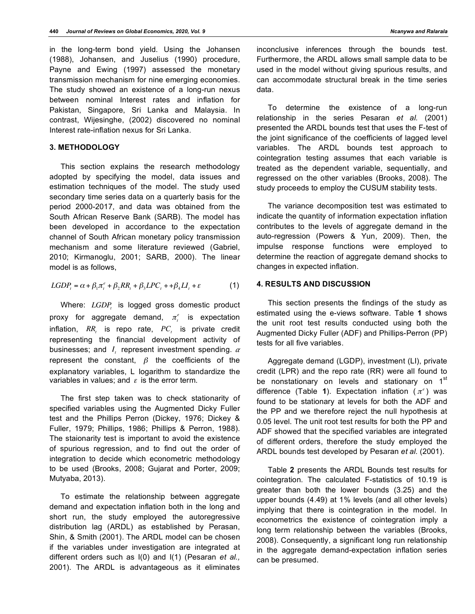in the long-term bond yield. Using the Johansen (1988), Johansen, and Juselius (1990) procedure, Payne and Ewing (1997) assessed the monetary transmission mechanism for nine emerging economies. The study showed an existence of a long-run nexus between nominal Interest rates and inflation for Pakistan, Singapore, Sri Lanka and Malaysia. In contrast, Wijesinghe, (2002) discovered no nominal Interest rate-inflation nexus for Sri Lanka.

## **3. METHODOLOGY**

This section explains the research methodology adopted by specifying the model, data issues and estimation techniques of the model. The study used secondary time series data on a quarterly basis for the period 2000-2017, and data was obtained from the South African Reserve Bank (SARB). The model has been developed in accordance to the expectation channel of South African monetary policy transmission mechanism and some literature reviewed (Gabriel, 2010; Kirmanoglu, 2001; SARB, 2000). The linear model is as follows,

$$
LGDP_t = \alpha + \beta_1 \pi_t^e + \beta_2 RR_t + \beta_3 LPC_t + \beta_4 LI_t + \varepsilon
$$
 (1)

Where: *LGDP*, is logged gross domestic product proxy for aggregate demand,  $\pi_i^e$  is expectation inflation,  $RR$ , is repo rate,  $PC$ , is private credit representing the financial development activity of businesses; and  $I_t$  represent investment spending.  $\alpha$ represent the constant,  $\beta$  the coefficients of the explanatory variables, L logarithm to standardize the variables in values; and  $\varepsilon$  is the error term.

The first step taken was to check stationarity of specified variables using the Augmented Dicky Fuller test and the Phillips Perron (Dickey, 1976; Dickey & Fuller, 1979; Phillips, 1986; Phillips & Perron, 1988). The staionarity test is important to avoid the existence of spurious regression, and to find out the order of integration to decide which econometric methodology to be used (Brooks, 2008; Gujarat and Porter, 2009; Mutyaba, 2013).

To estimate the relationship between aggregate demand and expectation inflation both in the long and short run, the study employed the autoregressive distribution lag (ARDL) as established by Perasan, Shin, & Smith (2001). The ARDL model can be chosen if the variables under investigation are integrated at different orders such as I(0) and I(1) (Pesaran *et al.,* 2001). The ARDL is advantageous as it eliminates

To determine the existence of a long-run relationship in the series Pesaran *et al.* (2001) presented the ARDL bounds test that uses the F-test of the joint significance of the coefficients of lagged level variables. The ARDL bounds test approach to cointegration testing assumes that each variable is treated as the dependent variable, sequentially, and regressed on the other variables (Brooks, 2008). The study proceeds to employ the CUSUM stability tests.

can accommodate structural break in the time series

data.

The variance decomposition test was estimated to indicate the quantity of information expectation inflation contributes to the levels of aggregate demand in the auto-regression (Powers & Yun, 2009). Then, the impulse response functions were employed to determine the reaction of aggregate demand shocks to changes in expected inflation.

### **4. RESULTS AND DISCUSSION**

This section presents the findings of the study as estimated using the e-views software. Table **1** shows the unit root test results conducted using both the Augmented Dicky Fuller (ADF) and Phillips-Perron (PP) tests for all five variables.

Aggregate demand (LGDP), investment (LI), private credit (LPR) and the repo rate (RR) were all found to be nonstationary on levels and stationary on 1<sup>st</sup> difference (Table 1). Expectation inflation  $(\pi^e)$  was found to be stationary at levels for both the ADF and the PP and we therefore reject the null hypothesis at 0.05 level. The unit root test results for both the PP and ADF showed that the specified variables are integrated of different orders, therefore the study employed the ARDL bounds test developed by Pesaran *et al.* (2001).

Table **2** presents the ARDL Bounds test results for cointegration. The calculated F-statistics of 10.19 is greater than both the lower bounds (3.25) and the upper bounds (4.49) at 1% levels (and all other levels) implying that there is cointegration in the model. In econometrics the existence of cointegration imply a long term relationship between the variables (Brooks, 2008). Consequently, a significant long run relationship in the aggregate demand-expectation inflation series can be presumed.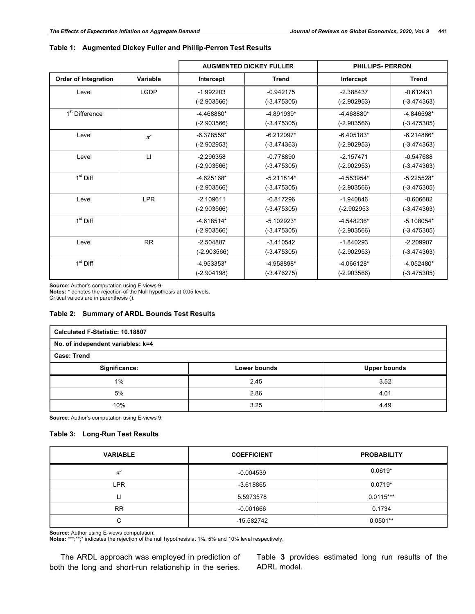|                             | Variable     | <b>AUGMENTED DICKEY FULLER</b> |                               | <b>PHILLIPS- PERRON</b>       |                               |  |
|-----------------------------|--------------|--------------------------------|-------------------------------|-------------------------------|-------------------------------|--|
| <b>Order of Integration</b> |              | Intercept                      | <b>Trend</b>                  | Intercept                     | <b>Trend</b>                  |  |
| Level                       | <b>LGDP</b>  | $-1.992203$<br>$(-2.903566)$   | $-0.942175$<br>$(-3.475305)$  | $-2.388437$<br>$(-2.902953)$  | $-0.612431$<br>$(-3.474363)$  |  |
| 1 <sup>st</sup> Difference  |              | $-4.468880*$<br>$(-2.903566)$  | $-4.891939*$<br>$(-3.475305)$ | $-4.468880*$<br>$(-2.903566)$ | $-4.846598*$<br>$(-3.475305)$ |  |
| Level                       | $\pi^e$      | $-6.378559*$<br>$(-2.902953)$  | $-6.212097*$<br>$(-3.474363)$ | $-6.405183*$<br>$(-2.902953)$ | $-6.214866*$<br>$(-3.474363)$ |  |
| Level                       | $\mathsf{L}$ | $-2.296358$<br>$(-2.903566)$   | $-0.778890$<br>$(-3.475305)$  | $-2.157471$<br>$(-2.902953)$  | $-0.547688$<br>$(-3.474363)$  |  |
| $1st$ Diff                  |              | $-4.625168*$<br>$(-2.903566)$  | $-5.211814*$<br>$(-3.475305)$ | $-4.553954*$<br>$(-2.903566)$ | $-5.225528*$<br>$(-3.475305)$ |  |
| Level                       | <b>LPR</b>   | $-2.109611$<br>$(-2.903566)$   | $-0.817296$<br>$(-3.475305)$  | $-1.940846$<br>$(-2.902953)$  | $-0.606682$<br>$(-3.474363)$  |  |
| $1st$ Diff                  |              | $-4.618514*$<br>$(-2.903566)$  | $-5.102923*$<br>$(-3.475305)$ | $-4.548236*$<br>$(-2.903566)$ | $-5.108054*$<br>$(-3.475305)$ |  |
| Level                       | <b>RR</b>    | $-2.504887$<br>$(-2.903566)$   | $-3.410542$<br>$(-3.475305)$  | $-1.840293$<br>$(-2.902953)$  | $-2.209907$<br>$(-3.474363)$  |  |
| $1st$ Diff                  |              | -4.953353*<br>$(-2.904198)$    | -4.958898*<br>$(-3.476275)$   | $-4.066128*$<br>$(-2.903566)$ | $-4.052480*$<br>$(-3.475305)$ |  |

# **Table 1: Augmented Dickey Fuller and Phillip-Perron Test Results**

**Source**: Author's computation using E-views 9.

**Notes:** \* denotes the rejection of the Null hypothesis at 0.05 levels.

Critical values are in parenthesis ().

## **Table 2: Summary of ARDL Bounds Test Results**

| Calculated F-Statistic: 10.18807  |              |                     |  |  |  |
|-----------------------------------|--------------|---------------------|--|--|--|
| No. of independent variables: k=4 |              |                     |  |  |  |
| <b>Case: Trend</b>                |              |                     |  |  |  |
| Significance:                     | Lower bounds | <b>Upper bounds</b> |  |  |  |
| $1\%$                             | 2.45         | 3.52                |  |  |  |
| 5%                                | 2.86         | 4.01                |  |  |  |
| 10%                               | 3.25         | 4.49                |  |  |  |

**Source**: Author's computation using E-views 9.

# **Table 3: Long-Run Test Results**

| <b>VARIABLE</b>  | <b>COEFFICIENT</b> | <b>PROBABILITY</b> |
|------------------|--------------------|--------------------|
| $\pi^{\epsilon}$ | $-0.004539$        | $0.0619*$          |
| LPR              | $-3.618865$        | $0.0719*$          |
| ⊔                | 5.5973578          | $0.0115***$        |
| <b>RR</b>        | $-0.001666$        | 0.1734             |
| С                | -15.582742         | $0.0501**$         |

**Source:** Author using E-views computation. **Notes:** \*\*\*;\*\*;\* indicates the rejection of the null hypothesis at 1%, 5% and 10% level respectively.

The ARDL approach was employed in prediction of both the long and short-run relationship in the series.

Table **3** provides estimated long run results of the ADRL model.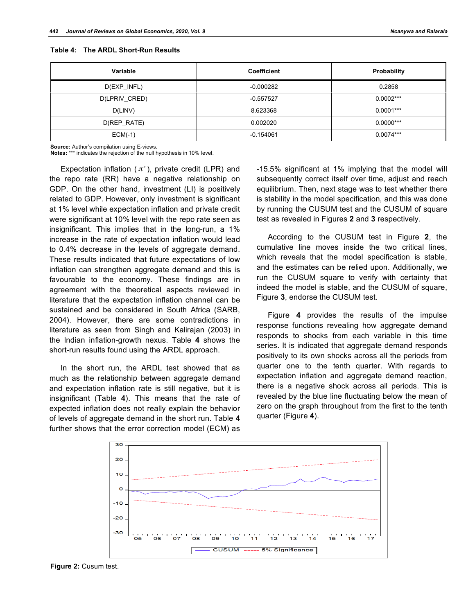| Variable      | <b>Coefficient</b> | Probability |  |  |
|---------------|--------------------|-------------|--|--|
| $D(EXP_INFL)$ | $-0.000282$        | 0.2858      |  |  |
| D(LPRIV_CRED) | $-0.557527$        | $0.0002***$ |  |  |
| D(LINV)       | 8.623368           | $0.0001***$ |  |  |
| D(REP_RATE)   | 0.002020           | $0.0000***$ |  |  |
| $ECM(-1)$     | $-0.154061$        | $0.0074***$ |  |  |

**Table 4: The ARDL Short-Run Results**

**Source:** Author's compilation using E-views.

**Notes:** \*\*\* indicates the rejection of the null hypothesis in 10% level.

Expectation inflation  $(\pi^e)$ , private credit (LPR) and the repo rate (RR) have a negative relationship on GDP. On the other hand, investment (LI) is positively related to GDP. However, only investment is significant at 1% level while expectation inflation and private credit were significant at 10% level with the repo rate seen as insignificant. This implies that in the long-run, a 1% increase in the rate of expectation inflation would lead to 0.4% decrease in the levels of aggregate demand. These results indicated that future expectations of low inflation can strengthen aggregate demand and this is favourable to the economy. These findings are in agreement with the theoretical aspects reviewed in literature that the expectation inflation channel can be sustained and be considered in South Africa (SARB, 2004). However, there are some contradictions in literature as seen from Singh and Kalirajan (2003) in the Indian inflation-growth nexus. Table **4** shows the short-run results found using the ARDL approach.

In the short run, the ARDL test showed that as much as the relationship between aggregate demand and expectation inflation rate is still negative, but it is insignificant (Table **4**). This means that the rate of expected inflation does not really explain the behavior of levels of aggregate demand in the short run. Table **4** further shows that the error correction model (ECM) as

-15.5% significant at 1% implying that the model will subsequently correct itself over time, adjust and reach equilibrium. Then, next stage was to test whether there is stability in the model specification, and this was done by running the CUSUM test and the CUSUM of square test as revealed in Figures **2** and **3** respectively.

According to the CUSUM test in Figure **2**, the cumulative line moves inside the two critical lines, which reveals that the model specification is stable, and the estimates can be relied upon. Additionally, we run the CUSUM square to verify with certainty that indeed the model is stable, and the CUSUM of square, Figure **3**, endorse the CUSUM test.

Figure **4** provides the results of the impulse response functions revealing how aggregate demand responds to shocks from each variable in this time series. It is indicated that aggregate demand responds positively to its own shocks across all the periods from quarter one to the tenth quarter. With regards to expectation inflation and aggregate demand reaction, there is a negative shock across all periods. This is revealed by the blue line fluctuating below the mean of zero on the graph throughout from the first to the tenth quarter (Figure **4**).



**Figure 2:** Cusum test.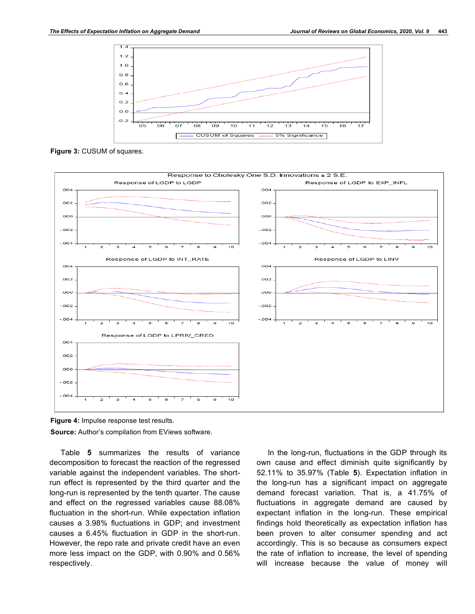

**Figure 3:** CUSUM of squares.





Table **5** summarizes the results of variance decomposition to forecast the reaction of the regressed variable against the independent variables. The shortrun effect is represented by the third quarter and the long-run is represented by the tenth quarter. The cause and effect on the regressed variables cause 88.08% fluctuation in the short-run. While expectation inflation causes a 3.98% fluctuations in GDP; and investment causes a 6.45% fluctuation in GDP in the short-run. However, the repo rate and private credit have an even more less impact on the GDP, with 0.90% and 0.56% respectively.

In the long-run, fluctuations in the GDP through its own cause and effect diminish quite significantly by 52.11% to 35.97% (Table **5**). Expectation inflation in the long-run has a significant impact on aggregate demand forecast variation. That is, a 41.75% of fluctuations in aggregate demand are caused by expectant inflation in the long-run. These empirical findings hold theoretically as expectation inflation has been proven to alter consumer spending and act accordingly. This is so because as consumers expect the rate of inflation to increase, the level of spending will increase because the value of money will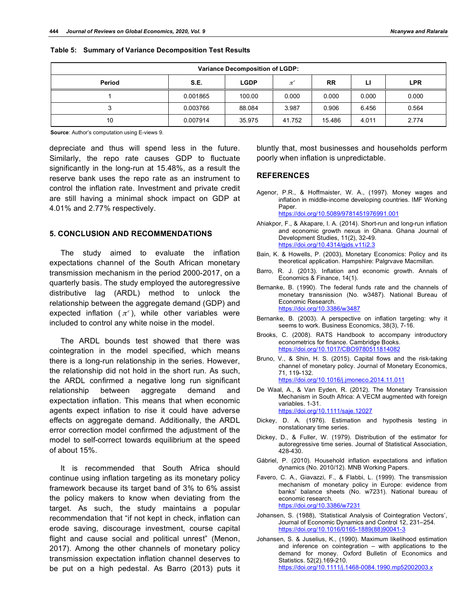| <b>Variance Decomposition of LGDP:</b> |          |             |               |           |       |            |
|----------------------------------------|----------|-------------|---------------|-----------|-------|------------|
| Period                                 | S.E.     | <b>LGDP</b> | $\pi^{\circ}$ | <b>RR</b> | Ы     | <b>LPR</b> |
|                                        | 0.001865 | 100.00      | 0.000         | 0.000     | 0.000 | 0.000      |
|                                        | 0.003766 | 88.084      | 3.987         | 0.906     | 6.456 | 0.564      |
| 10                                     | 0.007914 | 35.975      | 41.752        | 15.486    | 4.011 | 2.774      |

**Table 5: Summary of Variance Decomposition Test Results**

**Source**: Author's computation using E-views 9.

depreciate and thus will spend less in the future. Similarly, the repo rate causes GDP to fluctuate significantly in the long-run at 15.48%, as a result the reserve bank uses the repo rate as an instrument to control the inflation rate. Investment and private credit are still having a minimal shock impact on GDP at 4.01% and 2.77% respectively.

#### **5. CONCLUSION AND RECOMMENDATIONS**

The study aimed to evaluate the inflation expectations channel of the South African monetary transmission mechanism in the period 2000-2017, on a quarterly basis. The study employed the autoregressive distributive lag (ARDL) method to unlock the relationship between the aggregate demand (GDP) and expected inflation  $(\pi^e)$ , while other variables were included to control any white noise in the model.

The ARDL bounds test showed that there was cointegration in the model specified, which means there is a long-run relationship in the series. However, the relationship did not hold in the short run. As such, the ARDL confirmed a negative long run significant relationship between aggregate demand and expectation inflation. This means that when economic agents expect inflation to rise it could have adverse effects on aggregate demand. Additionally, the ARDL error correction model confirmed the adjustment of the model to self-correct towards equilibrium at the speed of about 15%.

It is recommended that South Africa should continue using inflation targeting as its monetary policy framework because its target band of 3% to 6% assist the policy makers to know when deviating from the target. As such, the study maintains a popular recommendation that "if not kept in check, inflation can erode saving, discourage investment, course capital flight and cause social and political unrest" (Menon, 2017). Among the other channels of monetary policy transmission expectation inflation channel deserves to be put on a high pedestal. As Barro (2013) puts it

bluntly that, most businesses and households perform poorly when inflation is unpredictable.

#### **REFERENCES**

Agenor, P.R., & Hoffmaister, W. A., (1997). Money wages and inflation in middle-income developing countries. IMF Working Paper. https://doi.org/10.5089/9781451976991.001

Ahiakpor, F., & Akapare, I. A. (2014). Short-run and long-run inflation and economic growth nexus in Ghana. Ghana Journal of Development Studies, 11(2), 32-49.

Bain, K. & Howells, P. (2003), Monetary Economics: Policy and its theoretical application. Hampshire: Palgrvave Macmillan.

https://doi.org/10.4314/gjds.v11i2.3

- Barro, R. J. (2013). Inflation and economic growth. Annals of Economics & Finance, 14(1).
- Bernanke, B. (1990). The federal funds rate and the channels of monetary transnission (No. w3487). National Bureau of Economic Research. https://doi.org/10.3386/w3487
- Bernanke, B. (2003). A perspective on inflation targeting: why it seems to work. Business Economics, 38(3), 7-16.
- Brooks, C. (2008). RATS Handbook to accompany introductory econometrics for finance. Cambridge Books. https://doi.org/10.1017/CBO9780511814082
- Bruno, V., & Shin, H. S. (2015). Capital flows and the risk-taking channel of monetary policy. Journal of Monetary Economics, 71, 119-132. https://doi.org/10.1016/j.jmoneco.2014.11.011
- De Waal, A., & Van Eyden, R. (2012). The Monetary Transission Mechanism in South Africa: A VECM augmented with foreign variables. 1-31. https://doi.org/10.1111/saje.12027

Dickey, D. A. (1976). Estimation and hypothesis testing in nonstationary time series.

- Dickey, D., & Fuller, W. (1979). Distribution of the estimator for autoregressive time series. Journal of Statistical Association, 428-430.
- Gábriel, P. (2010). Household inflation expectations and inflation dynamics (No. 2010/12). MNB Working Papers.
- Favero, C. A., Giavazzi, F., & Flabbi, L. (1999). The transmission mechanism of monetary policy in Europe: evidence from banks' balance sheets (No. w7231). National bureau of economic research. https://doi.org/10.3386/w7231
- Johansen, S. (1988), 'Statistical Analysis of Cointegration Vectors', Journal of Economic Dynamics and Control 12, 231–254. https://doi.org/10.1016/0165-1889(88)90041-3
- Johansen, S. & Juselius, K., (1990). Maximum likelihood estimation and inference on cointegration – with applications to the demand for money. Oxford Bulletin of Economics and Statistics. 52(2).169-210. https://doi.org/10.1111/j.1468-0084.1990.mp52002003.x